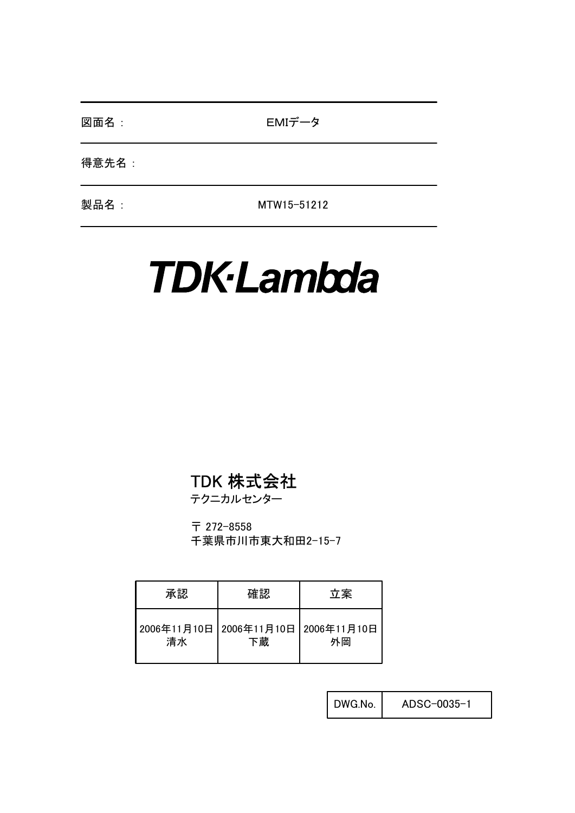図面名 : **No. 2010 MIデータ** 

得意先名 :

製品名 : MTW15-51212

# **TDK-Lambda**

## TDK 株式会社

テクニカルセンター

〒 272-8558 千葉県市川市東大和田2-15-7

| 承認 | 確認                                        | 立案 |
|----|-------------------------------------------|----|
| 清水 | 2006年11月10日 2006年11月10日 2006年11月10日<br>下蔵 | 外岡 |

DWG.No. ADSC-0035-1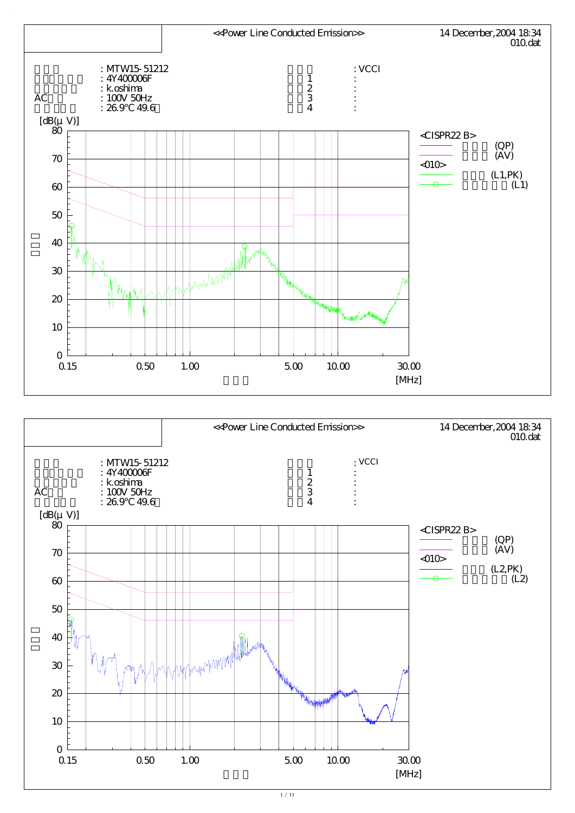

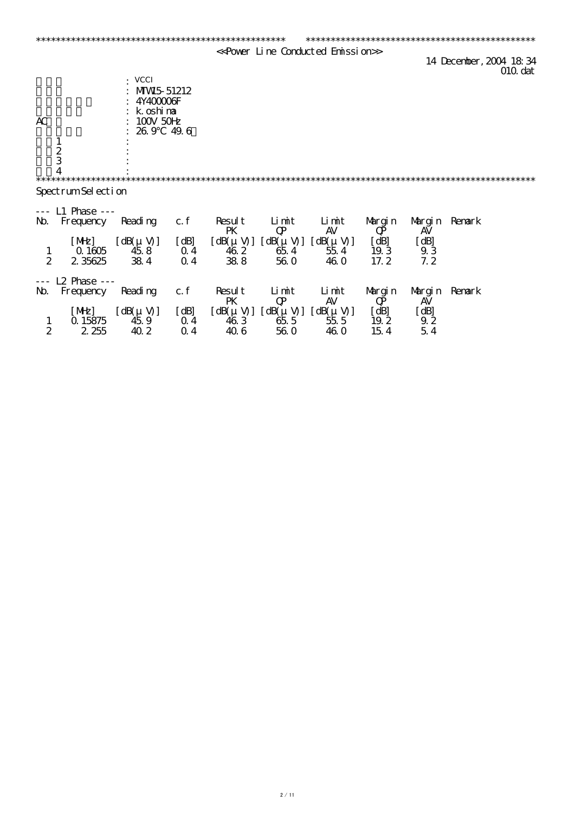|                |                    |                                  |                |                  |                                       | < <power conducted="" emission="" line="">&gt;</power>             |         |                                         |                                               |
|----------------|--------------------|----------------------------------|----------------|------------------|---------------------------------------|--------------------------------------------------------------------|---------|-----------------------------------------|-----------------------------------------------|
|                |                    |                                  |                |                  |                                       |                                                                    |         |                                         | 14 December, 2004 18:34<br>010 <sub>det</sub> |
|                |                    | · VCCI                           |                |                  |                                       |                                                                    |         |                                         |                                               |
|                |                    | MW <sub>5</sub> 51212            |                |                  |                                       |                                                                    |         |                                         |                                               |
|                |                    | 4Y400006F                        |                |                  |                                       |                                                                    |         |                                         |                                               |
|                |                    | k oshima                         |                |                  |                                       |                                                                    |         |                                         |                                               |
| AC             |                    | $100V$ 50 $H$                    |                |                  |                                       |                                                                    |         |                                         |                                               |
|                |                    | 26.9                             | 49.6           |                  |                                       |                                                                    |         |                                         |                                               |
|                |                    |                                  |                |                  |                                       |                                                                    |         |                                         |                                               |
|                | $rac{2}{3}$        |                                  |                |                  |                                       |                                                                    |         |                                         |                                               |
|                |                    |                                  |                |                  |                                       |                                                                    |         |                                         |                                               |
|                |                    |                                  |                |                  |                                       |                                                                    |         |                                         |                                               |
|                | SpectrumSel ection |                                  |                |                  |                                       |                                                                    |         |                                         |                                               |
|                | $L1$ Phase $--$    |                                  |                |                  |                                       |                                                                    |         |                                         |                                               |
| $\mathbf{M}$   | Frequency          | Reading                          | c.f            | Result           | Limit                                 | Limit                                                              | Margin  |                                         | Margin Remark                                 |
|                |                    |                                  |                | PK               | $\mathbf{Q}$                          | <b>AV</b>                                                          | $\bf Q$ | AV                                      |                                               |
|                | [ME]               | $\left[\right. dB(\mu V)\right]$ | [dB]           |                  | $[dB(\mu V)] [dB(\mu V)] [dB(\mu V)]$ |                                                                    | [dB]    | [dB]                                    |                                               |
| $\mathbf{1}$   | $\Omega$ 1605      | 458                              | $Q_4$          | 46 2             | 654                                   | 554                                                                | 19.3    | 93                                      |                                               |
| $\overline{2}$ | 2 35625            | 384                              | $Q_4$          | 388              | 560                                   | 46.0                                                               | 17.2    | 7.2                                     |                                               |
|                | $L2$ Phase $--$    |                                  |                |                  |                                       |                                                                    |         |                                         |                                               |
| $\mathbf{M}$   | Frequency          | Reading                          | c.f            | Result           | Limit                                 | Limit                                                              | Margin  | Margin                                  | Renark                                        |
|                |                    |                                  |                | PK               | $\mathbf{Q}$                          | AV                                                                 | $\bf Q$ | AV                                      |                                               |
|                | [ME]               | $[dB(\mu V)]$                    | [dB]           | $[dB(\mu V)]$    |                                       | $\begin{bmatrix} dB(\mu V) & dB(\mu V) \\ 655 & 555 \end{bmatrix}$ | [dB]    | [dB]                                    |                                               |
| $\mathbf{1}$   | Q 15875            | 459                              | 0 <sub>4</sub> | $\overline{46}3$ |                                       |                                                                    | 19.2    | $\begin{array}{c} 92 \\ 54 \end{array}$ |                                               |
| $\overline{2}$ | 2 255              | 40 2                             | 0 <sub>4</sub> | 406              | <b>560</b>                            | 46.0                                                               | 154     |                                         |                                               |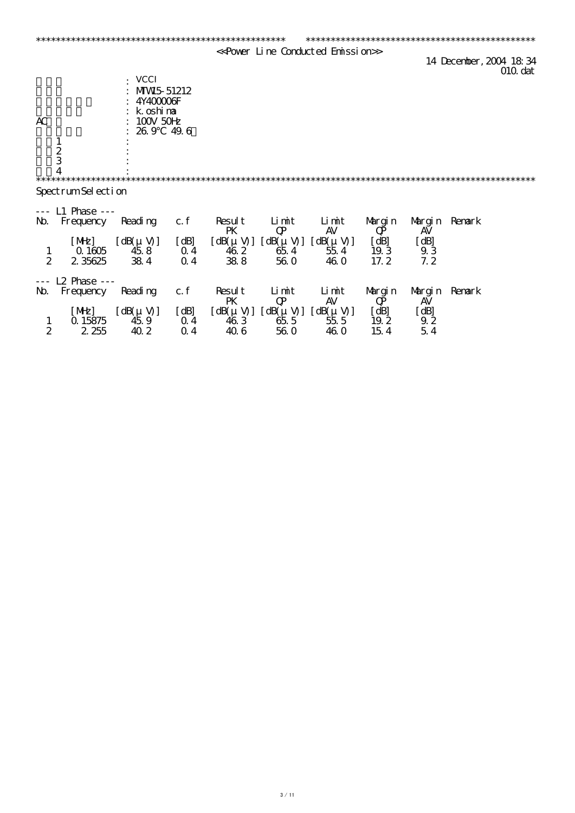|                |                    |                                  |                |                  |                                                                    | < <power conducted="" emission="" line="">&gt;</power> |         |                                         |                                               |
|----------------|--------------------|----------------------------------|----------------|------------------|--------------------------------------------------------------------|--------------------------------------------------------|---------|-----------------------------------------|-----------------------------------------------|
|                |                    |                                  |                |                  |                                                                    |                                                        |         |                                         | 14 December, 2004 18:34<br>010 <sub>det</sub> |
|                |                    | <b>VCCI</b>                      |                |                  |                                                                    |                                                        |         |                                         |                                               |
|                |                    | MW <sub>5</sub> 51212            |                |                  |                                                                    |                                                        |         |                                         |                                               |
|                |                    | 4Y400006F                        |                |                  |                                                                    |                                                        |         |                                         |                                               |
|                |                    | k oshima                         |                |                  |                                                                    |                                                        |         |                                         |                                               |
| AC             |                    | $100V$ 50 $H$                    |                |                  |                                                                    |                                                        |         |                                         |                                               |
|                |                    | 26.9                             | 49.6           |                  |                                                                    |                                                        |         |                                         |                                               |
|                |                    |                                  |                |                  |                                                                    |                                                        |         |                                         |                                               |
|                | $rac{2}{3}$        |                                  |                |                  |                                                                    |                                                        |         |                                         |                                               |
|                |                    |                                  |                |                  |                                                                    |                                                        |         |                                         |                                               |
|                |                    |                                  |                |                  |                                                                    |                                                        |         |                                         |                                               |
|                |                    |                                  |                |                  |                                                                    |                                                        |         |                                         |                                               |
|                | SpectrumSel ection |                                  |                |                  |                                                                    |                                                        |         |                                         |                                               |
|                | $L1$ Phase $--$    |                                  |                |                  |                                                                    |                                                        |         |                                         |                                               |
| $\mathbf{M}$   | Frequency          | Reading                          | c.f            | Result           | Limit                                                              | Limit                                                  | Margin  | Margin Remark                           |                                               |
|                |                    |                                  |                | PK               | $\mathbf{Q}$                                                       | <b>AV</b>                                              | $\bf Q$ | AV                                      |                                               |
|                | [ME]               | $\left[\right. dB(\mu V)\right]$ | [dB]           |                  | $[dB(\mu V)] [dB(\mu V)] [dB(\mu V)]$                              |                                                        | [dB]    | [dB]                                    |                                               |
|                | $\Omega$ 1605      | 458                              | $Q_4$          | 46 2             | 654                                                                | 554                                                    | 19.3    | 93                                      |                                               |
| $\frac{1}{2}$  | 2 35625            | 384                              | $Q_4$          | 388              | 560                                                                | 46.0                                                   | 17.2    | 7.2                                     |                                               |
|                |                    |                                  |                |                  |                                                                    |                                                        |         |                                         |                                               |
|                | $L2$ Phase $--$    |                                  |                |                  |                                                                    |                                                        |         |                                         |                                               |
| $\mathbf{M}$   | Frequency          | Reading                          | c.f            | Result           | Limit                                                              | Limit                                                  | Margin  | Margin                                  | Renark                                        |
|                |                    |                                  |                | PK               | $\mathbf{Q}$                                                       | AV                                                     | $\bf Q$ | AV                                      |                                               |
|                | [ME]               | $[dB(\mu V)]$                    | [dB]           | $[dB(\mu V)]$    | $\begin{bmatrix} dB(\mu V) & dB(\mu V) \\ 655 & 555 \end{bmatrix}$ |                                                        | [dB]    | [dB]                                    |                                               |
| $\mathbf{1}$   | Q 15875            | 459                              | 0 <sub>4</sub> | $\overline{46}3$ |                                                                    |                                                        | 19.2    | $\begin{array}{c} 92 \\ 54 \end{array}$ |                                               |
| $\overline{2}$ | 2 255              | 40 2                             | 0 <sub>4</sub> | 406              | <b>560</b>                                                         | 46.0                                                   | 154     |                                         |                                               |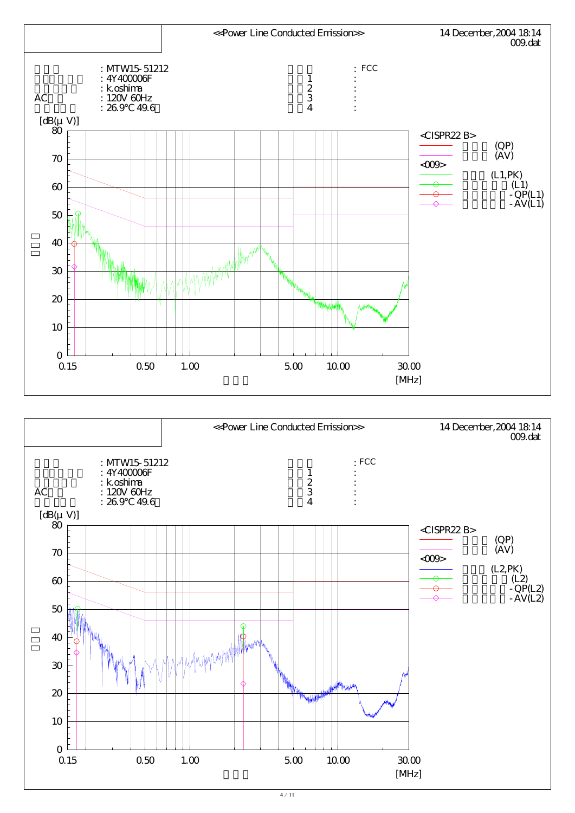

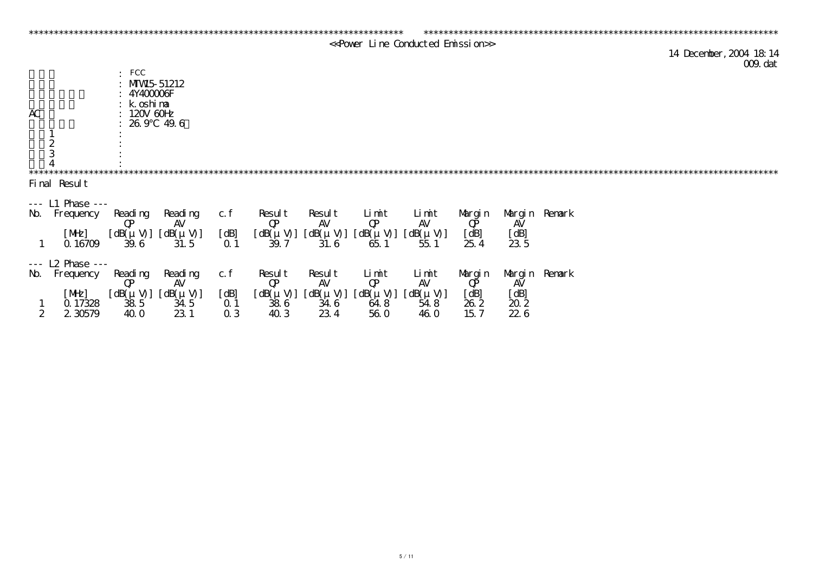|                  |                      |                         |                           |            |                               |                      |                               | << Power Line Conducted Emission>> |                           |                                            |                         |         |
|------------------|----------------------|-------------------------|---------------------------|------------|-------------------------------|----------------------|-------------------------------|------------------------------------|---------------------------|--------------------------------------------|-------------------------|---------|
|                  |                      |                         |                           |            |                               |                      |                               |                                    |                           |                                            | 14 December, 2004 18 14 | 009 dat |
|                  |                      | $\colon$ FCC            |                           |            |                               |                      |                               |                                    |                           |                                            |                         |         |
|                  |                      | : $MW5 51212$           |                           |            |                               |                      |                               |                                    |                           |                                            |                         |         |
|                  |                      | $:4$ Y400006F           |                           |            |                               |                      |                               |                                    |                           |                                            |                         |         |
|                  |                      | $: k$ oshima            |                           |            |                               |                      |                               |                                    |                           |                                            |                         |         |
| AC               |                      | $120V$ $60H$            |                           |            |                               |                      |                               |                                    |                           |                                            |                         |         |
|                  |                      | $: 269$ 49.6            |                           |            |                               |                      |                               |                                    |                           |                                            |                         |         |
|                  |                      |                         |                           |            |                               |                      |                               |                                    |                           |                                            |                         |         |
|                  | $\frac{1}{2}$        |                         |                           |            |                               |                      |                               |                                    |                           |                                            |                         |         |
|                  |                      |                         |                           |            |                               |                      |                               |                                    |                           |                                            |                         |         |
|                  |                      |                         |                           |            |                               |                      |                               |                                    |                           |                                            |                         |         |
|                  | Final Result         |                         |                           |            |                               |                      |                               |                                    |                           |                                            |                         |         |
|                  | $---$ L1 Phase $---$ |                         |                           |            |                               |                      |                               |                                    |                           |                                            |                         |         |
| $\mathbf{M}$     | Frequency            | Reading<br>$\mathbf{Q}$ | Reading<br>AV             | c. f       | Result<br>$\mathbf{Q}$        | Result<br><b>AV</b>  | Limit<br>$\mathbf{Q}$         | $\mathbf{L}$ i mit<br>AV           | Margin<br>$\mathbf{Q\!P}$ | AV                                         | Margin Remark           |         |
|                  | [ME]                 |                         | $[dB(\mu V)] [dB(\mu V)]$ | [dB]       | $[dB(\mu V)]$                 | $[dB(\mu V)]$        | $[dB(\mu V)]$                 | $[dB(\mu V)]$                      | [dB]                      | [dB]                                       |                         |         |
|                  | Q 16709              | 39.6                    | 31.5                      | $\Omega$ 1 | 39.7                          | 31.6                 | 65.1                          | 551                                | 25.4                      | 235                                        |                         |         |
|                  |                      |                         |                           |            |                               |                      |                               |                                    |                           |                                            |                         |         |
|                  | $- - 12$ Phase $- -$ |                         |                           |            |                               |                      |                               |                                    |                           |                                            |                         |         |
| $\mathbf{M}$     | Frequency            | Reading                 | Reading<br>AV             | c. f       | Result                        | Result<br>AV         | Limit                         | Limit<br>AV                        | Margin                    | Margin Remark<br>AV                        |                         |         |
|                  | [ME]                 | $\mathbf{Q}$            | $[dB(\mu V)] [dB(\mu V)]$ | [dB]       | $\mathbf{Q}$<br>$[dB(\mu V)]$ |                      | $\mathbf{Q}$<br>$[dB(\mu V)]$ |                                    | $\mathbf{Q}$              |                                            |                         |         |
|                  | Q 17328              | $\overline{38}5$        | 34.5                      | $\Omega$ 1 | $\overline{38}6$              | $[dB(\mu V)]$<br>346 | 64.8                          | $[dB(\mu V)]$<br>548               | [dB]<br>262               | $\begin{bmatrix} dB \\ 20.2 \end{bmatrix}$ |                         |         |
| $\boldsymbol{2}$ | 2 30579              | <b>40 O</b>             | 23 1                      | $Q_3$      | 40 3                          | 234                  | <b>56 O</b>                   | <b>46 O</b>                        | 157                       | 226                                        |                         |         |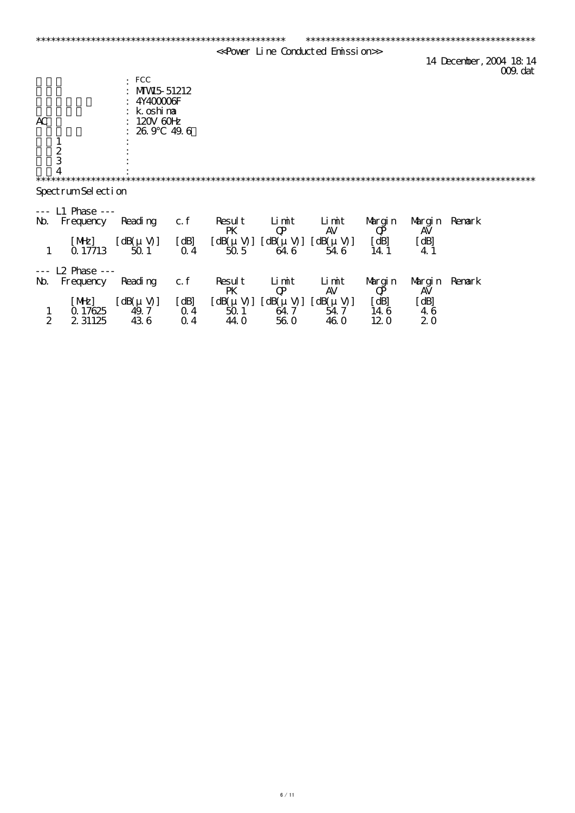|                |                      |                                                       |                |        |                                               | < <power conducted="" emission="" line=""></power> |              |             |                                     |
|----------------|----------------------|-------------------------------------------------------|----------------|--------|-----------------------------------------------|----------------------------------------------------|--------------|-------------|-------------------------------------|
|                |                      |                                                       |                |        |                                               |                                                    |              |             | 14 December, 2004 18 14<br>009. dat |
|                |                      | $\cdot$ FCC                                           |                |        |                                               |                                                    |              |             |                                     |
|                |                      | MW <sub>5</sub> 51212                                 |                |        |                                               |                                                    |              |             |                                     |
|                |                      | 4Y400006F                                             |                |        |                                               |                                                    |              |             |                                     |
|                |                      | k oshima                                              |                |        |                                               |                                                    |              |             |                                     |
| AC             |                      | $120V$ 60 $H$<br>26.9                                 | 49.6           |        |                                               |                                                    |              |             |                                     |
|                |                      |                                                       |                |        |                                               |                                                    |              |             |                                     |
|                | $\frac{1}{2}$        |                                                       |                |        |                                               |                                                    |              |             |                                     |
|                |                      |                                                       |                |        |                                               |                                                    |              |             |                                     |
|                | $\overline{4}$       |                                                       |                |        |                                               |                                                    |              |             |                                     |
|                | SpectrumSel ection   |                                                       |                |        |                                               |                                                    |              |             |                                     |
|                |                      |                                                       |                |        |                                               |                                                    |              |             |                                     |
|                | --- L1 Phase ---     |                                                       |                |        |                                               |                                                    |              |             |                                     |
| $\mathbf{M}$   | Frequency            | Reading                                               | c.f            | Result | $\mathbf{L}$ int                              | Limit                                              | Margin       | Margin      | Renark                              |
|                |                      |                                                       |                | PK     | $\mathbf{Q}$                                  | <b>AV</b>                                          | $\bf Q\rm$   | AV          |                                     |
| $\mathbf{1}$   | [ME]<br>Q 17713      | $\left[ dB(\mu V) \right]$<br>501                     | [dB]<br>$Q_4$  | 505    | $[dB(\mu V)] [dB(\mu V)] [dB(\mu V)]$<br>64.6 | 54.6                                               | [dB]<br>14.1 | [dB]<br>4.1 |                                     |
|                |                      |                                                       |                |        |                                               |                                                    |              |             |                                     |
|                | $- - 12$ Phase $- -$ |                                                       |                |        |                                               |                                                    |              |             |                                     |
| $\mathbf{M}$   | Frequency            | Reading                                               | c.f            | Result | Limit                                         | Limit                                              | Margin       | Margin      | Renark                              |
|                |                      |                                                       |                | PK     | $\mathbf{Q}$                                  | AV                                                 | $\bf Q\rm$   | AV          |                                     |
| $\mathbf{1}$   | [ME]<br>Q 17625      | $\left[\right. dB(\mu V)\right]$<br>$\overline{49.7}$ | [dB]<br>$Q_4$  | 501    | $[dB(\mu V)] [dB(\mu V)] [dB(\mu V)]$<br>64.7 | 54.7                                               | [dB]<br>14 6 | [dB]<br>46  |                                     |
| $\overline{2}$ | 2 31125              | 436                                                   | 0 <sub>4</sub> | 44.0   | <b>560</b>                                    | <b>46 O</b>                                        | 120          | 20          |                                     |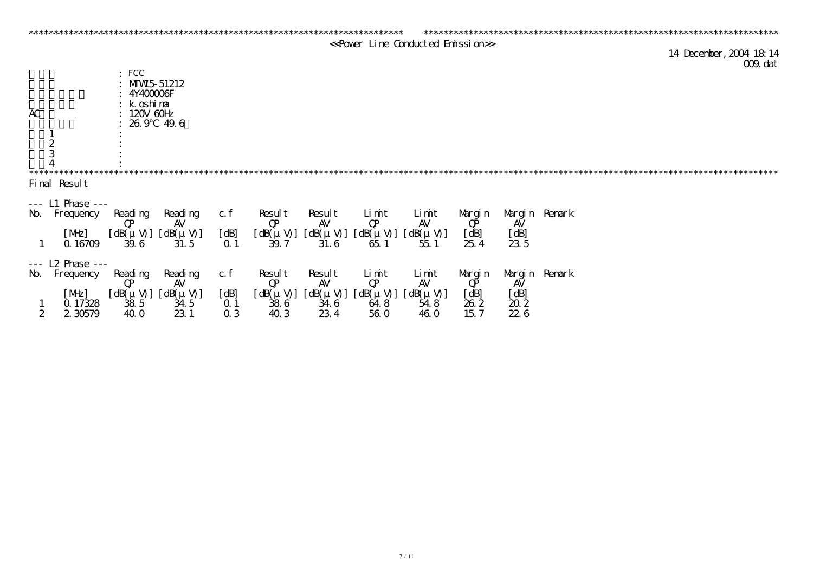|                  |                      |                                                                                                  |                           |            |                        |               |                           | << Power Line Conducted Emission>> |                    |                                            |                                    |
|------------------|----------------------|--------------------------------------------------------------------------------------------------|---------------------------|------------|------------------------|---------------|---------------------------|------------------------------------|--------------------|--------------------------------------------|------------------------------------|
|                  |                      |                                                                                                  |                           |            |                        |               |                           |                                    |                    |                                            | 14 December, 2004 18 14<br>009 dat |
| AC               | $\frac{1}{2}$        | $\colon$ FCC<br>: $MW5 51212$<br>:4Y40000F<br>$: k \circ sh$ ina<br>$120V$ $60H$<br>$: 269$ 49.6 |                           |            |                        |               |                           |                                    |                    |                                            |                                    |
|                  |                      |                                                                                                  |                           |            |                        |               |                           |                                    |                    |                                            |                                    |
|                  | Final Result         |                                                                                                  |                           |            |                        |               |                           |                                    |                    |                                            |                                    |
|                  |                      |                                                                                                  |                           |            |                        |               |                           |                                    |                    |                                            |                                    |
|                  | --- L1 Phase ---     |                                                                                                  |                           |            |                        |               |                           |                                    |                    |                                            |                                    |
| $\mathbf{M}$     | Frequency            | Reading<br>$\mathbf{Q}$                                                                          | Reading<br>AV             | c. f       | Result<br>$\mathbf{Q}$ | Result<br>AV  | Limit<br>$\mathbf{Q}$     | Limit<br>AV                        | Margin<br>$\bf Q$  | AV                                         | Margin Remark                      |
|                  | [ME]                 |                                                                                                  | $[dB(\mu V)] [dB(\mu V)]$ | [dB]       | $[dB(\mu V)]$          |               | $[dB(\mu V)] [dB(\mu V)]$ | $[dB(\mu V)]$                      | [dB]               | [dB]                                       |                                    |
|                  | Q16709               | 39.6                                                                                             | 31.5                      | $\Omega$ 1 | 39.7                   | 31.6          | 651                       | 551                                | 254                | 23 5                                       |                                    |
|                  | $- - 12$ Phase $- -$ |                                                                                                  |                           |            |                        |               |                           |                                    |                    |                                            |                                    |
| $\mathbf{M}$     | Frequency            | Reading                                                                                          | Reading                   | c. f       | Result                 | Result        | Limit                     | Limit                              | Margin             |                                            | Margin Renark                      |
|                  |                      | $\mathbf{Q}$                                                                                     | AV                        |            | $\mathbf{Q}$           | AV            | $\mathbf{Q}$              | AV                                 | $\vec{\mathbf{P}}$ | AV                                         |                                    |
|                  | [ME]                 |                                                                                                  | $[dB(\mu V)] [dB(\mu V)]$ | [dB]       | $[dB(\mu V)]$          | $[dB(\mu V)]$ | $[dB(\mu V)]$             | $[dB(\mu V)]$                      | [dB]               |                                            |                                    |
|                  | Q 17328              | 385                                                                                              | 34.5                      | $\Omega$ 1 | $\overline{38}6$       | 34.6          | 64.8                      | 54.8                               | 262                | $\begin{bmatrix} dB \\ 20.2 \end{bmatrix}$ |                                    |
| $\boldsymbol{2}$ | 2 30579              | <b>40 O</b>                                                                                      | 231                       | $Q_3$      | 40 3                   | 234           | <b>56 O</b>               | <b>46 O</b>                        | 15.7               | 226                                        |                                    |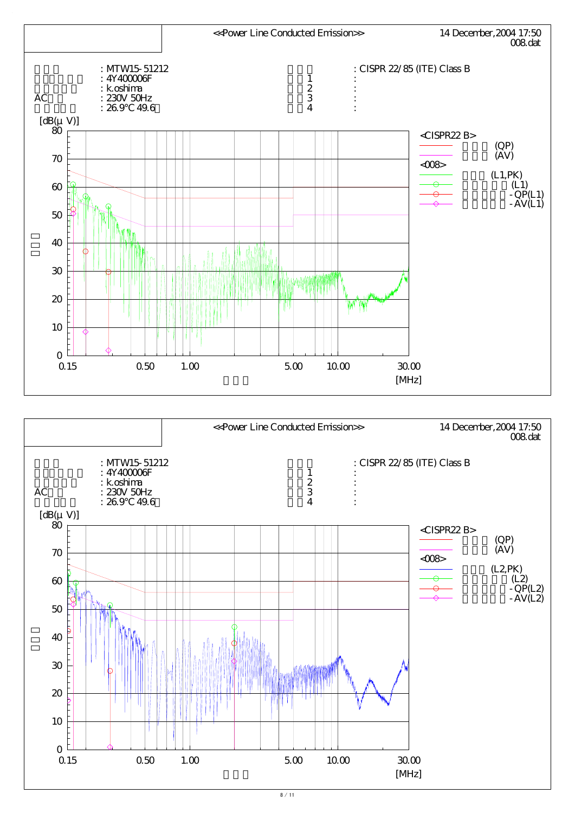

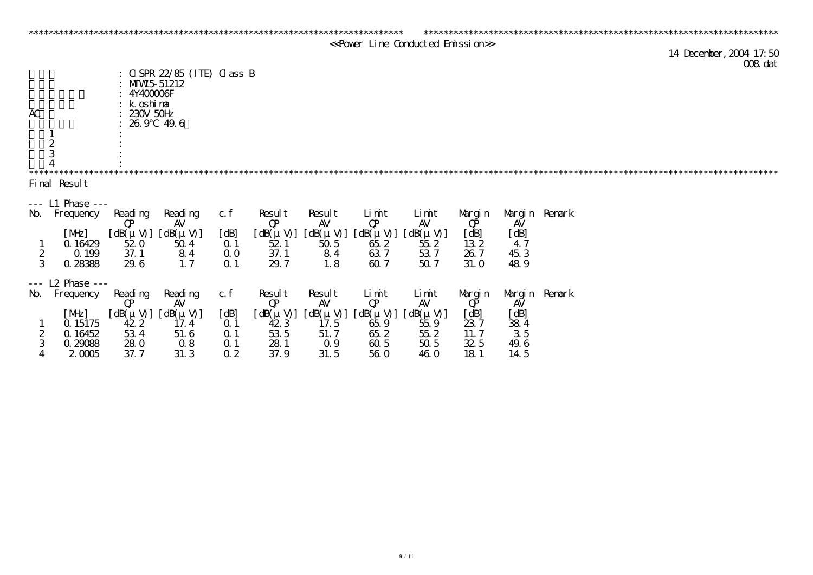|                         |                               |                                                       |                                                                           |                |               |                |               | < <power conducted="" emission="" line="">&gt;</power> |              |                            |               |  |                                    |
|-------------------------|-------------------------------|-------------------------------------------------------|---------------------------------------------------------------------------|----------------|---------------|----------------|---------------|--------------------------------------------------------|--------------|----------------------------|---------------|--|------------------------------------|
|                         |                               |                                                       |                                                                           |                |               |                |               |                                                        |              |                            |               |  | 14 December, 2004 17:50<br>008 dat |
| AC                      | $\frac{1}{2}$                 | : $MW5 51212$<br>4Y400006F<br>k oshima<br>$230V$ 50Hz | : $\text{GSPR } 22/85$ (ITE) $\text{Q} \text{ass } \text{B}$<br>26.9 49.6 |                |               |                |               |                                                        |              |                            |               |  |                                    |
|                         |                               |                                                       |                                                                           |                |               |                |               |                                                        |              |                            |               |  |                                    |
|                         | Final Result                  |                                                       |                                                                           |                |               |                |               |                                                        |              |                            |               |  |                                    |
|                         |                               |                                                       |                                                                           |                |               |                |               |                                                        |              |                            |               |  |                                    |
| $\mathbf{M}$            | --- L1 Phase ---<br>Frequency | Reading                                               | Reading                                                                   | c.f            | Result        | Result         | Limit         | Limit                                                  | Margin       |                            | Margin Renark |  |                                    |
|                         |                               | $\mathbf{Q}$                                          | <b>AV</b>                                                                 |                | $\mathbf{Q}$  | AV             | $\mathbf{Q}$  | AV                                                     | $\bf Q\rm P$ | AV                         |               |  |                                    |
|                         | [ME]                          | $[dB(\mu V)]$                                         | $[dB(\mu V)]$                                                             | [dB]           | $[dB(\mu V)]$ | $[dB(\mu V)]$  | $[dB(\mu V)]$ | $[dB(\mu V)]$                                          | dB           | [dB]                       |               |  |                                    |
|                         | Q 16429                       | 520                                                   | 504                                                                       | $\Omega$ 1     | 521           | 505            | 652           | 552                                                    | 132          | 47                         |               |  |                                    |
| $rac{2}{3}$             | Q 199                         | 37.1                                                  | 84                                                                        | $\Omega$ O     | 37.1          | 84             | 637           | 537                                                    | 26.7         | 45 3                       |               |  |                                    |
|                         | 0.28388                       | 29.6                                                  | 1.7                                                                       | 0 <sub>1</sub> | 29.7          | 1.8            | 60.7          | 507                                                    | 31. O        | 489                        |               |  |                                    |
| $\perp$ $\perp$ $\perp$ | $12$ Phase $-$                |                                                       |                                                                           |                |               |                |               |                                                        |              |                            |               |  |                                    |
| $\mathbf{M}$            | Frequency                     | Reading                                               | Reading                                                                   | c. f           | Result        | Result         | Limit         | Limit                                                  | Margin       |                            | Margin Remark |  |                                    |
|                         |                               | $\mathbf{Q}$                                          | <b>AV</b>                                                                 |                | $\mathbf{Q}$  | <b>AV</b>      | $\mathbf{Q}$  | <b>AV</b>                                              | $\bf Q\rm$   | AV                         |               |  |                                    |
|                         | [ME]                          | $[dB(\mu V)]$                                         | $[dB(\mu V)]$                                                             | [dB]           | $[dB(\mu V)]$ | $[dB(\mu V)]$  | $[dB(\mu V)]$ | $[dB(\mu V)]$                                          | [dB]         | [dB]                       |               |  |                                    |
|                         | Q 15175                       | 422                                                   | 17.4                                                                      | Q <sub>1</sub> | 423           | 17.5           | 65.9          | 559                                                    | 237          | $\frac{38}{3} \frac{4}{5}$ |               |  |                                    |
| <b>2</b>                | Q 16452                       | 534                                                   | 51.6                                                                      | $\Omega$ 1     | 53 5          | 51.7           | 65.2          | 552                                                    | 11.7         |                            |               |  |                                    |
| 3                       | 0.29088                       | <b>280</b>                                            | 08                                                                        | $\Omega$ 1     | 281           | Q <sub>9</sub> | 60.5          | 50 <sub>5</sub>                                        | 32.5         | 49.6                       |               |  |                                    |

4 2.0005 37.7 31.3 0.2 37.9 31.5 56.0 46.0 18.1 14.5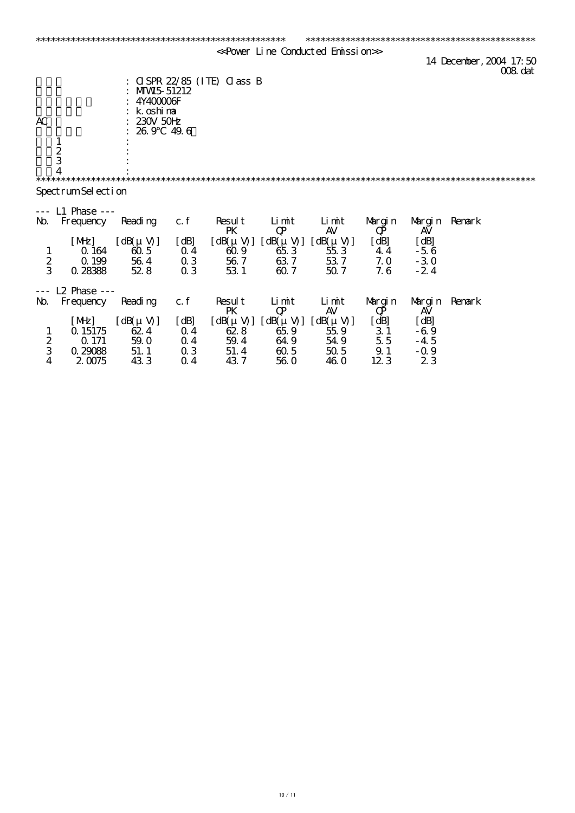|                         |                                              |                                                                         |                                    |                                                   |                       | < <power conducted="" emission="" line=""></power> |                           |                                 |                                    |
|-------------------------|----------------------------------------------|-------------------------------------------------------------------------|------------------------------------|---------------------------------------------------|-----------------------|----------------------------------------------------|---------------------------|---------------------------------|------------------------------------|
|                         |                                              |                                                                         |                                    |                                                   |                       |                                                    |                           |                                 | 14 December, 2004 17:50<br>008 dat |
| AC                      |                                              | MW <sub>5</sub> 51212<br>4Y400006F<br>k oshima<br>$230V$ 50 $H$<br>26.9 | 49.6                               | $C(SPR 22/85)$ (ITE) $CASS$ B                     |                       |                                                    |                           |                                 |                                    |
|                         | $\mathbf 1$<br>$rac{2}{3}$<br>$\overline{4}$ |                                                                         |                                    |                                                   |                       |                                                    |                           |                                 |                                    |
|                         | SpectrumSel ection                           |                                                                         |                                    |                                                   |                       |                                                    |                           |                                 |                                    |
|                         | $L1$ Phase $--$                              |                                                                         |                                    |                                                   |                       |                                                    |                           |                                 |                                    |
| $\mathbf{M}$            | Frequency                                    | Reading                                                                 | c.f                                | Result<br>PK                                      | Limit<br>$\mathbf{Q}$ | Limit<br><b>AV</b>                                 | Margin<br>$\bf Q$         | Margin Remark<br><b>AV</b>      |                                    |
| $\frac{1}{2}$           | [ME]<br>Q 164<br>Q 199<br>0 28388            | $[dB(\mu V)]$<br>605<br>564<br>528                                      | [dB]<br>$\Omega$ 4<br>03<br>$Q_3$  | $\left[ dB(\mu V) \right]$<br>609<br>56 7<br>53 1 | 653<br>637<br>60.7    | $[dB(\mu V)] [dB(\mu V)]$<br>553<br>537<br>507     | [dB]<br>44<br>7.0<br>7.6  | [dB]<br>$-56$<br>$-30$<br>$-24$ |                                    |
| $\perp$ $\perp$ $\perp$ | <b>L2 Phase ---</b>                          |                                                                         |                                    |                                                   |                       |                                                    |                           |                                 |                                    |
| $\mathbf{M}$            | Frequency<br>[ME]                            | Reading<br>$[dB(\mu V)]$                                                | c. f<br>[dB]                       | Result<br>PK<br>$[dB(\mu V)]$                     | Limit<br>$\mathbf{Q}$ | Limit<br><b>AV</b><br>$[dB(\mu V)] [dB(\mu V)]$    | Margin<br>$\bf Q$<br>[dB] | Margin Remark<br>AV<br>[dB]     |                                    |
| $\frac{1}{2}$           | Q 15175<br>Q 171<br>Q 29088                  | 624<br>59.0<br>51.1                                                     | $\Omega$ 4<br>0 <sub>4</sub><br>03 | 628<br>59.4<br>51.4                               | 65.9<br>64.9<br>605   | 55.9<br>54.9<br>505                                | 31<br>5.5<br>9.1          | $-69$<br>$-4.5$<br>$-0.9$       |                                    |

4 2.0075 43.3 0.4 43.7 56.0 46.0 12.3 2.3